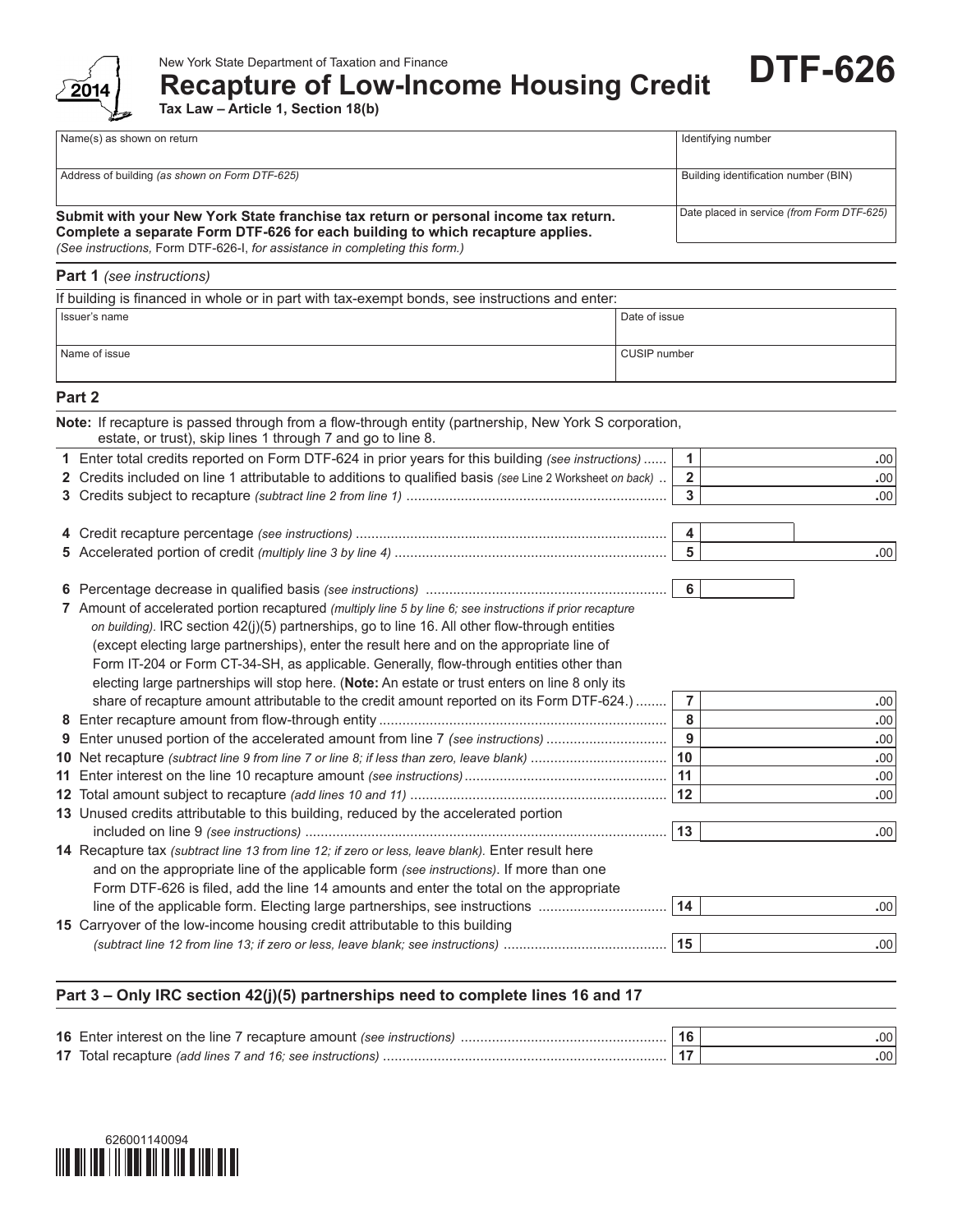

**Recapture of Low-Income Housing Credit**

**Tax Law – Article 1, Section 18(b)**

| Name(s) as shown on return                                                                                                                                                                                                                           | Identifying number                         |  |  |
|------------------------------------------------------------------------------------------------------------------------------------------------------------------------------------------------------------------------------------------------------|--------------------------------------------|--|--|
|                                                                                                                                                                                                                                                      |                                            |  |  |
| Address of building (as shown on Form DTF-625)                                                                                                                                                                                                       | Building identification number (BIN)       |  |  |
| Submit with your New York State franchise tax return or personal income tax return.<br>Complete a separate Form DTF-626 for each building to which recapture applies.<br>(See instructions, Form DTF-626-I, for assistance in completing this form.) | Date placed in service (from Form DTF-625) |  |  |

**DTF-626**

## **Part 1** *(see instructions)*

| If building is financed in whole or in part with tax-exempt bonds, see instructions and enter: |               |  |  |  |  |
|------------------------------------------------------------------------------------------------|---------------|--|--|--|--|
| Issuer's name                                                                                  | Date of issue |  |  |  |  |
| Name of issue                                                                                  | CUSIP number  |  |  |  |  |

## **Part 2**

| Note: If recapture is passed through from a flow-through entity (partnership, New York S corporation,<br>estate, or trust), skip lines 1 through 7 and go to line 8. |                         |                  |
|----------------------------------------------------------------------------------------------------------------------------------------------------------------------|-------------------------|------------------|
| 1 Enter total credits reported on Form DTF-624 in prior years for this building (see instructions)                                                                   | $\mathbf{1}$            | .00              |
| 2 Credits included on line 1 attributable to additions to qualified basis (see Line 2 Worksheet on back).                                                            | $\overline{\mathbf{2}}$ | .00              |
|                                                                                                                                                                      | $\overline{3}$          | .00 <sub>1</sub> |
|                                                                                                                                                                      |                         |                  |
|                                                                                                                                                                      | 4                       |                  |
|                                                                                                                                                                      | $5\phantom{a}$          | .00 <sub>1</sub> |
|                                                                                                                                                                      | 6                       |                  |
| 7 Amount of accelerated portion recaptured (multiply line 5 by line 6; see instructions if prior recapture                                                           |                         |                  |
| on building). IRC section 42(j)(5) partnerships, go to line 16. All other flow-through entities                                                                      |                         |                  |
| (except electing large partnerships), enter the result here and on the appropriate line of                                                                           |                         |                  |
| Form IT-204 or Form CT-34-SH, as applicable. Generally, flow-through entities other than                                                                             |                         |                  |
| electing large partnerships will stop here. (Note: An estate or trust enters on line 8 only its                                                                      |                         |                  |
| share of recapture amount attributable to the credit amount reported on its Form DTF-624.)                                                                           | $\overline{7}$          | .00              |
|                                                                                                                                                                      | 8                       | .00              |
| 9 Enter unused portion of the accelerated amount from line 7 (see instructions)                                                                                      | $\overline{9}$          | .00              |
| 10 Net recapture (subtract line 9 from line 7 or line 8; if less than zero, leave blank)                                                                             | 10                      | .00              |
|                                                                                                                                                                      | 11                      | .00              |
|                                                                                                                                                                      | 12                      | .00 <sub>1</sub> |
| 13 Unused credits attributable to this building, reduced by the accelerated portion                                                                                  |                         |                  |
|                                                                                                                                                                      | 13                      | .00 <sub>1</sub> |
| 14 Recapture tax (subtract line 13 from line 12; if zero or less, leave blank). Enter result here                                                                    |                         |                  |
| and on the appropriate line of the applicable form (see instructions). If more than one                                                                              |                         |                  |
| Form DTF-626 is filed, add the line 14 amounts and enter the total on the appropriate                                                                                |                         |                  |
| line of the applicable form. Electing large partnerships, see instructions                                                                                           | 14                      | .00 <sub>1</sub> |
| 15 Carryover of the low-income housing credit attributable to this building                                                                                          |                         |                  |
|                                                                                                                                                                      | 15                      | .00              |

## **Part 3 – Only IRC section 42(j)(5) partnerships need to complete lines 16 and 17**

|                                                           | .00 <sup>1</sup> |
|-----------------------------------------------------------|------------------|
| 17 Total recapture (add lines 7 and 16; see instructions) | .00 <sup>1</sup> |